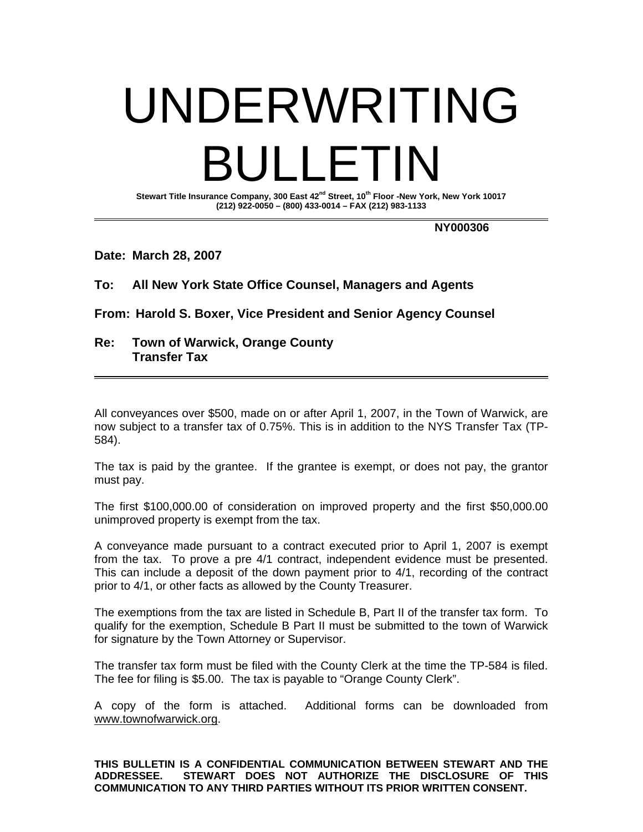# UNDERWRITING BULLETIN

**Stewart Title Insurance Company, 300 East 42nd Street, 10th Floor -New York, New York 10017 (212) 922-0050 – (800) 433-0014 – FAX (212) 983-1133** 

 **NY000306** 

**Date: March 28, 2007** 

## **To: All New York State Office Counsel, Managers and Agents**

**From: Harold S. Boxer, Vice President and Senior Agency Counsel** 

## **Re: Town of Warwick, Orange County Transfer Tax**

All conveyances over \$500, made on or after April 1, 2007, in the Town of Warwick, are now subject to a transfer tax of 0.75%. This is in addition to the NYS Transfer Tax (TP-584).

The tax is paid by the grantee. If the grantee is exempt, or does not pay, the grantor must pay.

The first \$100,000.00 of consideration on improved property and the first \$50,000.00 unimproved property is exempt from the tax.

A conveyance made pursuant to a contract executed prior to April 1, 2007 is exempt from the tax. To prove a pre 4/1 contract, independent evidence must be presented. This can include a deposit of the down payment prior to 4/1, recording of the contract prior to 4/1, or other facts as allowed by the County Treasurer.

The exemptions from the tax are listed in Schedule B, Part II of the transfer tax form. To qualify for the exemption, Schedule B Part II must be submitted to the town of Warwick for signature by the Town Attorney or Supervisor.

The transfer tax form must be filed with the County Clerk at the time the TP-584 is filed. The fee for filing is \$5.00. The tax is payable to "Orange County Clerk".

A copy of the form is attached. Additional forms can be downloaded from www.townofwarwick.org.

**THIS BULLETIN IS A CONFIDENTIAL COMMUNICATION BETWEEN STEWART AND THE ADDRESSEE. STEWART DOES NOT AUTHORIZE THE DISCLOSURE OF THIS COMMUNICATION TO ANY THIRD PARTIES WITHOUT ITS PRIOR WRITTEN CONSENT.**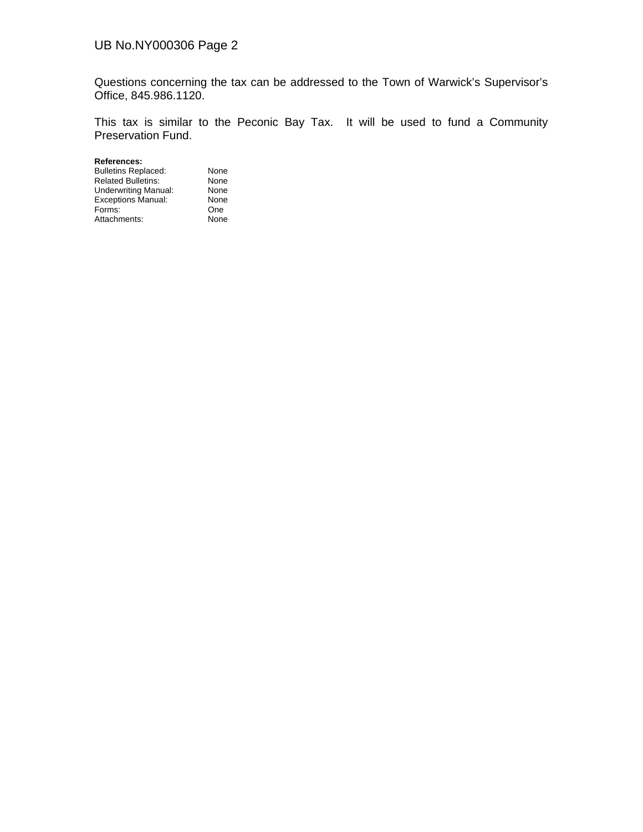## UB No.NY000306 Page 2

Questions concerning the tax can be addressed to the Town of Warwick's Supervisor's Office, 845.986.1120.

This tax is similar to the Peconic Bay Tax. It will be used to fund a Community Preservation Fund.

**References:**  Bulletins Replaced: None<br>
Related Bulletins: None Related Bulletins: None<br>
Underwriting Manual: None Underwriting Manual: None<br>Exceptions Manual: None Exceptions Manual: None<br>
Forms: Che Forms: One<br>Attachments: None Attachments: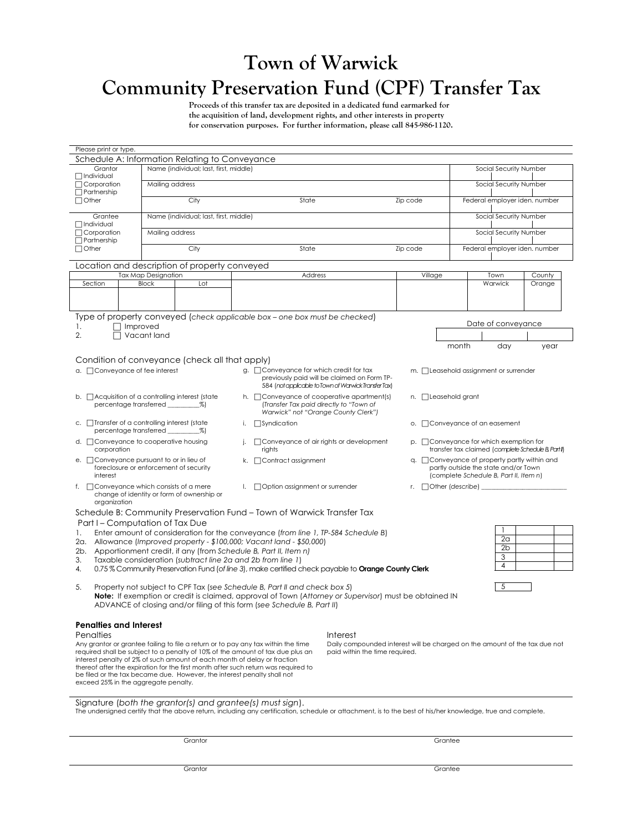# **Town of Warwick Community Preservation Fund (CPF) Transfer Tax**

**Proceeds of this transfer tax are deposited in a dedicated fund earmarked for the acquisition of land, development rights, and other interests in property for conservation purposes. For further information, please call 845-986-1120.**

| Please print or type.                                                                                                                                                                                                                                                     |                                                                                                                                                                          |                                               |                                                                          |    |                                                                                                                                                        |                                                                                                                                    |          |                                                                                                                               |                                     |  |
|---------------------------------------------------------------------------------------------------------------------------------------------------------------------------------------------------------------------------------------------------------------------------|--------------------------------------------------------------------------------------------------------------------------------------------------------------------------|-----------------------------------------------|--------------------------------------------------------------------------|----|--------------------------------------------------------------------------------------------------------------------------------------------------------|------------------------------------------------------------------------------------------------------------------------------------|----------|-------------------------------------------------------------------------------------------------------------------------------|-------------------------------------|--|
|                                                                                                                                                                                                                                                                           |                                                                                                                                                                          |                                               | Schedule A: Information Relating to Conveyance                           |    |                                                                                                                                                        |                                                                                                                                    |          |                                                                                                                               |                                     |  |
| Grantor<br><b>□</b> Individual<br>Corporation<br>$\Box$ Partnership<br>$\Box$ Other                                                                                                                                                                                       |                                                                                                                                                                          | Name (individual; last, first, middle)        |                                                                          |    |                                                                                                                                                        |                                                                                                                                    |          |                                                                                                                               | Social Security Number              |  |
|                                                                                                                                                                                                                                                                           |                                                                                                                                                                          | Mailing address                               |                                                                          |    |                                                                                                                                                        |                                                                                                                                    |          | Social Security Number                                                                                                        |                                     |  |
|                                                                                                                                                                                                                                                                           |                                                                                                                                                                          | City                                          |                                                                          |    | State                                                                                                                                                  |                                                                                                                                    | Zip code |                                                                                                                               | Federal employer iden. number       |  |
| Grantee<br>$\Box$ Individual<br>Corporation<br>$\Box$ Partnership<br>$\Box$ Other                                                                                                                                                                                         |                                                                                                                                                                          | Name (individual; last, first, middle)        |                                                                          |    |                                                                                                                                                        |                                                                                                                                    |          | Social Security Number                                                                                                        |                                     |  |
|                                                                                                                                                                                                                                                                           |                                                                                                                                                                          | Mailing address                               |                                                                          |    |                                                                                                                                                        |                                                                                                                                    |          |                                                                                                                               | Social Security Number              |  |
|                                                                                                                                                                                                                                                                           |                                                                                                                                                                          | City                                          |                                                                          |    | State                                                                                                                                                  |                                                                                                                                    | Zip code |                                                                                                                               | Federal employer iden. number       |  |
|                                                                                                                                                                                                                                                                           |                                                                                                                                                                          | Location and description of property conveyed |                                                                          |    |                                                                                                                                                        |                                                                                                                                    |          |                                                                                                                               |                                     |  |
| Section                                                                                                                                                                                                                                                                   |                                                                                                                                                                          | <b>Tax Map Designation</b><br><b>Block</b>    | Lot                                                                      |    | Address                                                                                                                                                |                                                                                                                                    |          | Village                                                                                                                       | County<br>Town<br>Warwick<br>Orange |  |
|                                                                                                                                                                                                                                                                           |                                                                                                                                                                          |                                               |                                                                          |    |                                                                                                                                                        |                                                                                                                                    |          |                                                                                                                               |                                     |  |
|                                                                                                                                                                                                                                                                           |                                                                                                                                                                          |                                               |                                                                          |    |                                                                                                                                                        |                                                                                                                                    |          |                                                                                                                               |                                     |  |
|                                                                                                                                                                                                                                                                           |                                                                                                                                                                          |                                               |                                                                          |    | Type of property conveyed (check applicable box – one box must be checked)                                                                             |                                                                                                                                    |          |                                                                                                                               |                                     |  |
| 1.<br>2.                                                                                                                                                                                                                                                                  | $\Box$ Improved                                                                                                                                                          | Vacant land                                   |                                                                          |    |                                                                                                                                                        |                                                                                                                                    |          |                                                                                                                               | Date of conveyance                  |  |
|                                                                                                                                                                                                                                                                           |                                                                                                                                                                          |                                               |                                                                          |    |                                                                                                                                                        |                                                                                                                                    |          |                                                                                                                               | month<br>day<br>year                |  |
|                                                                                                                                                                                                                                                                           |                                                                                                                                                                          |                                               |                                                                          |    |                                                                                                                                                        |                                                                                                                                    |          |                                                                                                                               |                                     |  |
|                                                                                                                                                                                                                                                                           |                                                                                                                                                                          |                                               | Condition of conveyance (check all that apply)                           |    |                                                                                                                                                        |                                                                                                                                    |          |                                                                                                                               |                                     |  |
| a. Conveyance of fee interest                                                                                                                                                                                                                                             |                                                                                                                                                                          |                                               |                                                                          |    | $g.$ $\Box$ Conveyance for which credit for tax<br>previously paid will be claimed on Form TP-<br>584 (not applicable to Town of Warwick Transfer Tax) |                                                                                                                                    |          | m. <b>I</b> Leasehold assignment or surrender                                                                                 |                                     |  |
| b. Acquisition of a controlling interest (state<br>percentage transferred %)                                                                                                                                                                                              |                                                                                                                                                                          |                                               |                                                                          |    |                                                                                                                                                        | h. $\Box$ Conveyance of cooperative apartment(s)<br>(Transfer Tax paid directly to "Town of<br>Warwick" not "Orange County Clerk") |          | n. □ Leasehold grant                                                                                                          |                                     |  |
| c. Transfer of a controlling interest (state                                                                                                                                                                                                                              |                                                                                                                                                                          |                                               |                                                                          | i. | □Syndication                                                                                                                                           |                                                                                                                                    |          | o. Conveyance of an easement                                                                                                  |                                     |  |
| d. □ Conveyance to cooperative housing<br>corporation                                                                                                                                                                                                                     |                                                                                                                                                                          |                                               |                                                                          | j. | rights                                                                                                                                                 | □ Conveyance of air rights or development                                                                                          |          | $p. \Box$ Conveyance for which exemption for<br>transfer tax claimed (complete Schedule B, PartII)                            |                                     |  |
| e. Conveyance pursuant to or in lieu of<br>foreclosure or enforcement of security<br>interest                                                                                                                                                                             |                                                                                                                                                                          |                                               |                                                                          |    | k. Contract assignment                                                                                                                                 |                                                                                                                                    |          | q. Conveyance of property partly within and<br>partly outside the state and/or Town<br>(complete Schedule B, Part II, Item n) |                                     |  |
| f. $\Box$ Conveyance which consists of a mere<br>change of identity or form of ownership or<br>organization                                                                                                                                                               |                                                                                                                                                                          |                                               |                                                                          | L. | □ Option assignment or surrender                                                                                                                       |                                                                                                                                    |          | r. $\Box$ Other (describe)                                                                                                    |                                     |  |
| Schedule B: Community Preservation Fund - Town of Warwick Transfer Tax                                                                                                                                                                                                    |                                                                                                                                                                          |                                               |                                                                          |    |                                                                                                                                                        |                                                                                                                                    |          |                                                                                                                               |                                     |  |
| Part I – Computation of Tax Due                                                                                                                                                                                                                                           |                                                                                                                                                                          |                                               |                                                                          |    |                                                                                                                                                        |                                                                                                                                    |          |                                                                                                                               |                                     |  |
| Enter amount of consideration for the conveyance (from line 1, TP-584 Schedule B)<br>1.<br>2a. Allowance (Improved property - \$100,000; Vacant land - \$50,000)                                                                                                          |                                                                                                                                                                          |                                               |                                                                          |    |                                                                                                                                                        |                                                                                                                                    |          | 2 <sub>a</sub>                                                                                                                |                                     |  |
|                                                                                                                                                                                                                                                                           |                                                                                                                                                                          |                                               |                                                                          |    | 2b. Apportionment credit, if any (from Schedule B, Part II, Item n)                                                                                    |                                                                                                                                    |          |                                                                                                                               | 2 <sub>b</sub>                      |  |
| 3.                                                                                                                                                                                                                                                                        | Taxable consideration (subtract line 2a and 2b from line 1)<br>0.75% Community Preservation Fund (of line 3), make certified check payable to <b>Orange County Clerk</b> |                                               |                                                                          |    |                                                                                                                                                        |                                                                                                                                    |          |                                                                                                                               | 3<br>4                              |  |
| 4.                                                                                                                                                                                                                                                                        |                                                                                                                                                                          |                                               |                                                                          |    |                                                                                                                                                        |                                                                                                                                    |          |                                                                                                                               |                                     |  |
| 5<br>Property not subject to CPF Tax (see Schedule B, Part II and check box 5)<br>5.<br>Note: If exemption or credit is claimed, approval of Town (Attorney or Supervisor) must be obtained IN<br>ADVANCE of closing and/or filing of this form (see Schedule B, Part II) |                                                                                                                                                                          |                                               |                                                                          |    |                                                                                                                                                        |                                                                                                                                    |          |                                                                                                                               |                                     |  |
|                                                                                                                                                                                                                                                                           |                                                                                                                                                                          |                                               |                                                                          |    |                                                                                                                                                        |                                                                                                                                    |          |                                                                                                                               |                                     |  |
| <b>Penalties and Interest</b><br>Penalties                                                                                                                                                                                                                                |                                                                                                                                                                          |                                               |                                                                          |    |                                                                                                                                                        | <b>Interest</b>                                                                                                                    |          |                                                                                                                               |                                     |  |
| Any grantor or grantee failing to file a return or to pay any tax within the time                                                                                                                                                                                         |                                                                                                                                                                          |                                               |                                                                          |    |                                                                                                                                                        | Daily compounded interest will be charged on the amount of the tax due not                                                         |          |                                                                                                                               |                                     |  |
|                                                                                                                                                                                                                                                                           |                                                                                                                                                                          |                                               | interest penalty of 2% of such amount of each month of delay or fraction |    | required shall be subject to a penalty of 10% of the amount of tax due plus an                                                                         | paid within the time required.                                                                                                     |          |                                                                                                                               |                                     |  |
|                                                                                                                                                                                                                                                                           |                                                                                                                                                                          |                                               |                                                                          |    | thereof after the expiration for the first month after such return was required to                                                                     |                                                                                                                                    |          |                                                                                                                               |                                     |  |
| be filed or the tax became due. However, the interest penalty shall not<br>exceed 25% in the aggregate penalty.                                                                                                                                                           |                                                                                                                                                                          |                                               |                                                                          |    |                                                                                                                                                        |                                                                                                                                    |          |                                                                                                                               |                                     |  |
|                                                                                                                                                                                                                                                                           |                                                                                                                                                                          |                                               |                                                                          |    |                                                                                                                                                        |                                                                                                                                    |          |                                                                                                                               |                                     |  |
| Signature (both the grantor(s) and grantee(s) must sign).<br>The undersigned certify that the above return, including any certification, schedule or attachment, is to the best of his/her knowledge, true and complete.                                                  |                                                                                                                                                                          |                                               |                                                                          |    |                                                                                                                                                        |                                                                                                                                    |          |                                                                                                                               |                                     |  |
|                                                                                                                                                                                                                                                                           |                                                                                                                                                                          |                                               |                                                                          |    |                                                                                                                                                        |                                                                                                                                    |          |                                                                                                                               |                                     |  |
|                                                                                                                                                                                                                                                                           |                                                                                                                                                                          |                                               | Grantor                                                                  |    |                                                                                                                                                        | Grantee                                                                                                                            |          |                                                                                                                               |                                     |  |